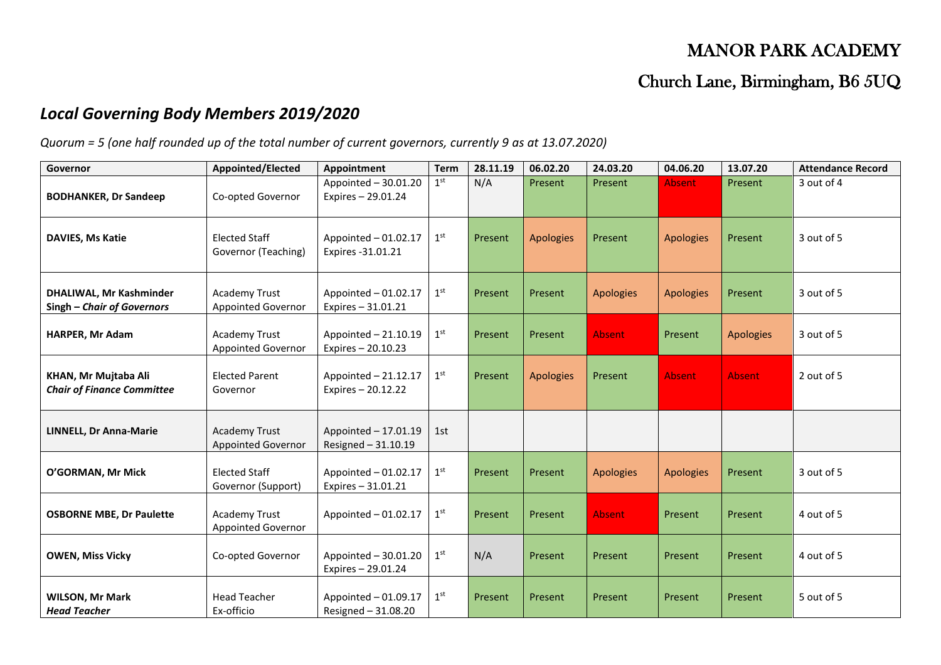## MANOR PARK ACADEMY

## Church Lane, Birmingham, B6 5UQ

## *Local Governing Body Members 2019/2020*

*Quorum = 5 (one half rounded up of the total number of current governors, currently 9 as at 13.07.2020)*

| Governor                                                     | Appointed/Elected                                 | <b>Appointment</b>                           | <b>Term</b>     | 28.11.19 | 06.02.20         | 24.03.20         | 04.06.20         | 13.07.20         | <b>Attendance Record</b> |
|--------------------------------------------------------------|---------------------------------------------------|----------------------------------------------|-----------------|----------|------------------|------------------|------------------|------------------|--------------------------|
| <b>BODHANKER, Dr Sandeep</b>                                 | Co-opted Governor                                 | Appointed - 30.01.20<br>Expires - 29.01.24   | 1 <sup>st</sup> | N/A      | Present          | Present          | <b>Absent</b>    | Present          | 3 out of 4               |
| <b>DAVIES, Ms Katie</b>                                      | <b>Elected Staff</b><br>Governor (Teaching)       | Appointed - 01.02.17<br>Expires -31.01.21    | 1 <sup>st</sup> | Present  | <b>Apologies</b> | Present          | <b>Apologies</b> | Present          | 3 out of 5               |
| <b>DHALIWAL, Mr Kashminder</b><br>Singh - Chair of Governors | <b>Academy Trust</b><br><b>Appointed Governor</b> | Appointed - 01.02.17<br>Expires - 31.01.21   | 1 <sup>st</sup> | Present  | Present          | <b>Apologies</b> | <b>Apologies</b> | Present          | 3 out of 5               |
| <b>HARPER, Mr Adam</b>                                       | <b>Academy Trust</b><br>Appointed Governor        | Appointed $-21.10.19$<br>Expires - 20.10.23  | 1 <sup>st</sup> | Present  | Present          | <b>Absent</b>    | Present          | <b>Apologies</b> | 3 out of 5               |
| KHAN, Mr Mujtaba Ali<br><b>Chair of Finance Committee</b>    | <b>Elected Parent</b><br>Governor                 | Appointed - 21.12.17<br>Expires - 20.12.22   | 1 <sup>st</sup> | Present  | <b>Apologies</b> | Present          | <b>Absent</b>    | <b>Absent</b>    | 2 out of 5               |
| <b>LINNELL, Dr Anna-Marie</b>                                | <b>Academy Trust</b><br><b>Appointed Governor</b> | Appointed $-17.01.19$<br>Resigned - 31.10.19 | 1st             |          |                  |                  |                  |                  |                          |
| O'GORMAN, Mr Mick                                            | <b>Elected Staff</b><br>Governor (Support)        | Appointed - 01.02.17<br>Expires - 31.01.21   | 1 <sup>st</sup> | Present  | Present          | <b>Apologies</b> | <b>Apologies</b> | Present          | 3 out of 5               |
| <b>OSBORNE MBE, Dr Paulette</b>                              | <b>Academy Trust</b><br><b>Appointed Governor</b> | Appointed - 01.02.17                         | 1 <sup>st</sup> | Present  | Present          | <b>Absent</b>    | Present          | Present          | 4 out of 5               |
| <b>OWEN, Miss Vicky</b>                                      | Co-opted Governor                                 | Appointed $-30.01.20$<br>Expires - 29.01.24  | 1 <sup>st</sup> | N/A      | Present          | Present          | Present          | Present          | 4 out of 5               |
| <b>WILSON, Mr Mark</b><br><b>Head Teacher</b>                | <b>Head Teacher</b><br>Ex-officio                 | Appointed - 01.09.17<br>Resigned - 31.08.20  | 1 <sup>st</sup> | Present  | Present          | Present          | Present          | Present          | 5 out of 5               |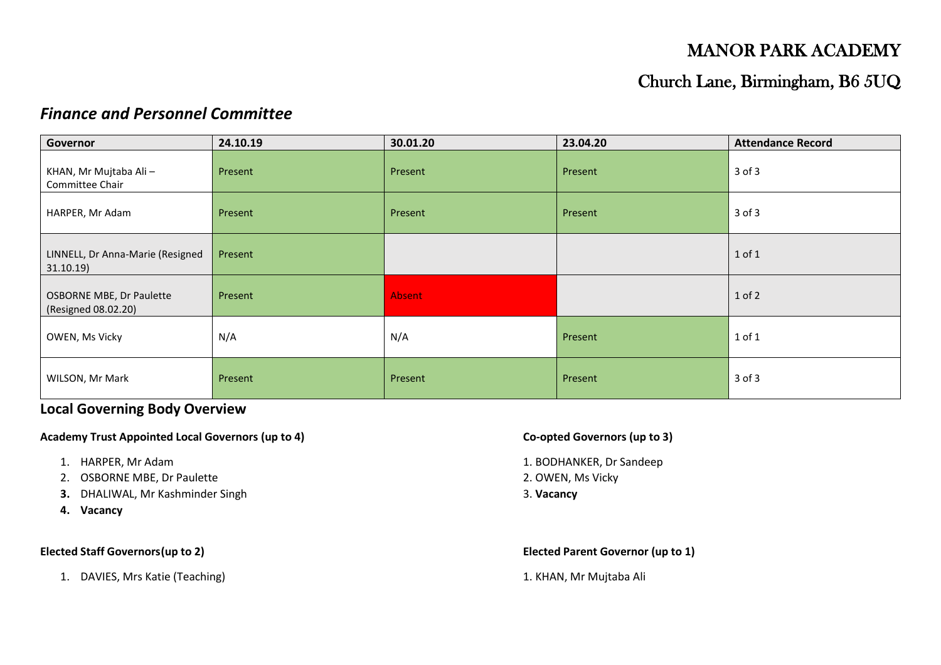# MANOR PARK ACADEMY

## Church Lane, Birmingham, B6 5UQ

## *Finance and Personnel Committee*

| Governor                                               | 24.10.19 | 30.01.20      | 23.04.20 | <b>Attendance Record</b> |
|--------------------------------------------------------|----------|---------------|----------|--------------------------|
| KHAN, Mr Mujtaba Ali -<br>Committee Chair              | Present  | Present       | Present  | $3$ of $3$               |
| HARPER, Mr Adam                                        | Present  | Present       | Present  | $3$ of $3$               |
| LINNELL, Dr Anna-Marie (Resigned<br>31.10.19           | Present  |               |          | $1$ of $1$               |
| <b>OSBORNE MBE, Dr Paulette</b><br>(Resigned 08.02.20) | Present  | <b>Absent</b> |          | $1$ of $2$               |
| OWEN, Ms Vicky                                         | N/A      | N/A           | Present  | 1 of 1                   |
| WILSON, Mr Mark                                        | Present  | Present       | Present  | $3$ of $3$               |

## **Local Governing Body Overview**

### **Academy Trust Appointed Local Governors (up to 4) Co-opted Governors (up to 3)**

- 
- 2. OSBORNE MBE, Dr Paulette 2. OWEN, Ms Vicky
- **3.** DHALIWAL, Mr Kashminder Singh 3. Vacancy
- **4. Vacancy**

1. DAVIES, Mrs Katie (Teaching) 1. KHAN, Mr Mujtaba Ali

- 1. HARPER, Mr Adam 1. BODHANKER, Dr Sandeep
	-
	-

**Elected Staff Governors(up to 2) Elected Parent Governor (up to 1)**